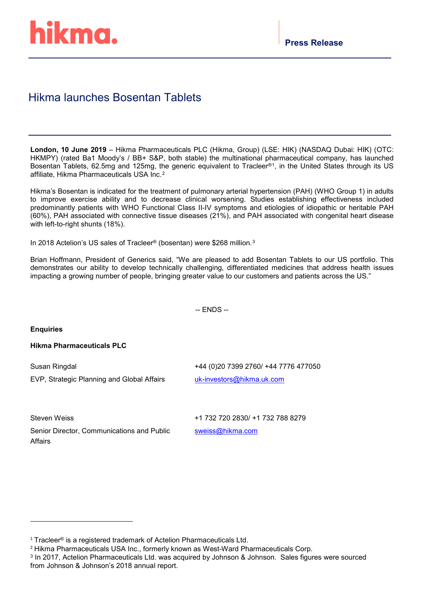# Hikma launches Bosentan Tablets

**London, 10 June 2019** – Hikma Pharmaceuticals PLC (Hikma, Group) (LSE: HIK) (NASDAQ Dubai: HIK) (OTC: HKMPY) (rated Ba1 Moody's / BB+ S&P, both stable) the multinational pharmaceutical company, has launched Bosentan Tablets, 62.5mg and 125mg, the generic equivalent to Tracleer®[1](#page-0-0), in the United States through its US affiliate, Hikma Pharmaceuticals USA Inc.[2](#page-0-1)

Hikma's Bosentan is indicated for the treatment of pulmonary arterial hypertension (PAH) (WHO Group 1) in adults to improve exercise ability and to decrease clinical worsening. Studies establishing effectiveness included predominantly patients with WHO Functional Class II-IV symptoms and etiologies of idiopathic or heritable PAH (60%), PAH associated with connective tissue diseases (21%), and PAH associated with congenital heart disease with left-to-right shunts (18%).

In 2018 Actelion's US sales of Tracleer® (bosentan) were \$268 million.<sup>[3](#page-0-2)</sup>

Brian Hoffmann, President of Generics said, "We are pleased to add Bosentan Tablets to our US portfolio. This demonstrates our ability to develop technically challenging, differentiated medicines that address health issues impacting a growing number of people, bringing greater value to our customers and patients across the US."

-- ENDS --

#### **Enquiries**

# **Hikma Pharmaceuticals PLC**

| Susan Ringdal                              | +44 (0)20 7399 2760/ +44 7776 477050 |
|--------------------------------------------|--------------------------------------|
| EVP, Strategic Planning and Global Affairs | uk-investors@hikma.uk.com            |

Steven Weiss

+1 732 720 2830/ +1 732 788 8279

Senior Director, Communications and Public Affairs

[sweiss@hikma.com](mailto:sweiss@hikma.com)

<span id="page-0-0"></span> $1$  Tracleer<sup>®</sup> is a registered trademark of Actelion Pharmaceuticals Ltd.

<span id="page-0-1"></span><sup>2</sup> Hikma Pharmaceuticals USA Inc., formerly known as West-Ward Pharmaceuticals Corp.

<span id="page-0-2"></span><sup>3</sup> In 2017, Actelion Pharmaceuticals Ltd. was acquired by Johnson & Johnson. Sales figures were sourced from Johnson & Johnson's 2018 annual report.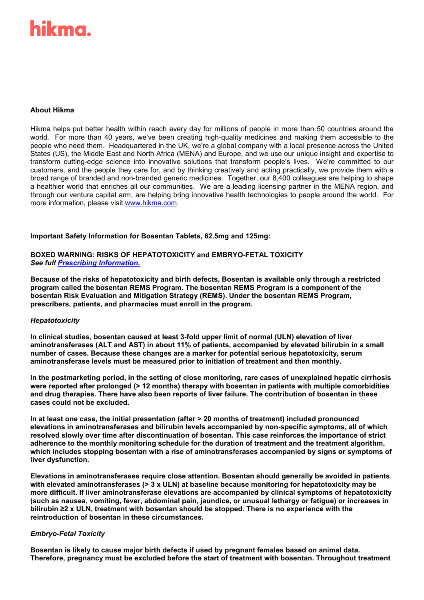# ikma.

# **About Hikma**

Hikma helps put better health within reach every day for millions of people in more than 50 countries around the world. For more than 40 years, we've been creating high-quality medicines and making them accessible to the people who need them. Headquartered in the UK, we're a global company with a local presence across the United States (US), the Middle East and North Africa (MENA) and Europe, and we use our unique insight and expertise to transform cutting-edge science into innovative solutions that transform people's lives. We're committed to our customers, and the people they care for, and by thinking creatively and acting practically, we provide them with a broad range of branded and non-branded generic medicines. Together, our 8,400 colleagues are helping to shape a healthier world that enriches all our communities. We are a leading licensing partner in the MENA region, and through our venture capital arm, are helping bring innovative health technologies to people around the world. For more information, please visit [www.hikma.com.](http://www.hikma.com/)

#### **Important Safety Information for Bosentan Tablets, 62.5mg and 125mg:**

#### **BOXED WARNING: RISKS OF HEPATOTOXICITY and EMBRYO-FETAL TOXICITY** *See full [Prescribing Information.](https://dailymed.nlm.nih.gov/dailymed/drugInfo.cfm?setid=c4bf0b99-9bfd-4d75-8a75-735f7056a048)*

**Because of the risks of hepatotoxicity and birth defects, Bosentan is available only through a restricted program called the bosentan REMS Program. The bosentan REMS Program is a component of the bosentan Risk Evaluation and Mitigation Strategy (REMS). Under the bosentan REMS Program, prescribers, patients, and pharmacies must enroll in the program.**

# *Hepatotoxicity*

**In clinical studies, bosentan caused at least 3-fold upper limit of normal (ULN) elevation of liver aminotransferases (ALT and AST) in about 11% of patients, accompanied by elevated bilirubin in a small number of cases. Because these changes are a marker for potential serious hepatotoxicity, serum aminotransferase levels must be measured prior to initiation of treatment and then monthly.**

**In the postmarketing period, in the setting of close monitoring, rare cases of unexplained hepatic cirrhosis were reported after prolonged (> 12 months) therapy with bosentan in patients with multiple comorbidities and drug therapies. There have also been reports of liver failure. The contribution of bosentan in these cases could not be excluded.**

**In at least one case, the initial presentation (after > 20 months of treatment) included pronounced elevations in aminotransferases and bilirubin levels accompanied by non-specific symptoms, all of which resolved slowly over time after discontinuation of bosentan. This case reinforces the importance of strict adherence to the monthly monitoring schedule for the duration of treatment and the treatment algorithm, which includes stopping bosentan with a rise of aminotransferases accompanied by signs or symptoms of liver dysfunction.**

**Elevations in aminotransferases require close attention. Bosentan should generally be avoided in patients with elevated aminotransferases (> 3 x ULN) at baseline because monitoring for hepatotoxicity may be more difficult. If liver aminotransferase elevations are accompanied by clinical symptoms of hepatotoxicity (such as nausea, vomiting, fever, abdominal pain, jaundice, or unusual lethargy or fatigue) or increases in bilirubin ≥2 x ULN, treatment with bosentan should be stopped. There is no experience with the reintroduction of bosentan in these circumstances.**

# *Embryo-Fetal Toxicity*

**Bosentan is likely to cause major birth defects if used by pregnant females based on animal data. Therefore, pregnancy must be excluded before the start of treatment with bosentan. Throughout treatment**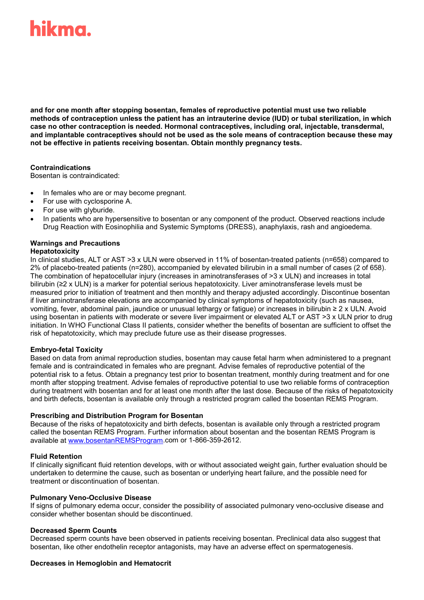# ikma.

**and for one month after stopping bosentan, females of reproductive potential must use two reliable methods of contraception unless the patient has an intrauterine device (IUD) or tubal sterilization, in which case no other contraception is needed. Hormonal contraceptives, including oral, injectable, transdermal, and implantable contraceptives should not be used as the sole means of contraception because these may not be effective in patients receiving bosentan. Obtain monthly pregnancy tests.**

# **Contraindications**

Bosentan is contraindicated:

- In females who are or may become pregnant.
- For use with cyclosporine A.
- For use with glyburide.
- In patients who are hypersensitive to bosentan or any component of the product. Observed reactions include Drug Reaction with Eosinophilia and Systemic Symptoms (DRESS), anaphylaxis, rash and angioedema.

# **Warnings and Precautions**

# **Hepatotoxicity**

In clinical studies, ALT or AST >3 x ULN were observed in 11% of bosentan-treated patients (n=658) compared to 2% of placebo-treated patients (n=280), accompanied by elevated bilirubin in a small number of cases (2 of 658). The combination of hepatocellular injury (increases in aminotransferases of >3 x ULN) and increases in total bilirubin (≥2 x ULN) is a marker for potential serious hepatotoxicity. Liver aminotransferase levels must be measured prior to initiation of treatment and then monthly and therapy adjusted accordingly. Discontinue bosentan if liver aminotransferase elevations are accompanied by clinical symptoms of hepatotoxicity (such as nausea, vomiting, fever, abdominal pain, jaundice or unusual lethargy or fatigue) or increases in bilirubin ≥ 2 x ULN. Avoid using bosentan in patients with moderate or severe liver impairment or elevated ALT or AST >3 x ULN prior to drug initiation. In WHO Functional Class II patients, consider whether the benefits of bosentan are sufficient to offset the risk of hepatotoxicity, which may preclude future use as their disease progresses.

#### **Embryo-fetal Toxicity**

Based on data from animal reproduction studies, bosentan may cause fetal harm when administered to a pregnant female and is contraindicated in females who are pregnant. Advise females of reproductive potential of the potential risk to a fetus. Obtain a pregnancy test prior to bosentan treatment, monthly during treatment and for one month after stopping treatment. Advise females of reproductive potential to use two reliable forms of contraception during treatment with bosentan and for at least one month after the last dose. Because of the risks of hepatotoxicity and birth defects, bosentan is available only through a restricted program called the bosentan REMS Program.

#### **Prescribing and Distribution Program for Bosentan**

Because of the risks of hepatotoxicity and birth defects, bosentan is available only through a restricted program called the bosentan REMS Program. Further information about bosentan and the bosentan REMS Program is available at [www.bosentanREMSProgram.](https://www.bosentanremsprogram.com/BosentanUI/home.u)com or 1-866-359-2612.

#### **Fluid Retention**

If clinically significant fluid retention develops, with or without associated weight gain, further evaluation should be undertaken to determine the cause, such as bosentan or underlying heart failure, and the possible need for treatment or discontinuation of bosentan.

#### **Pulmonary Veno-Occlusive Disease**

If signs of pulmonary edema occur, consider the possibility of associated pulmonary veno-occlusive disease and consider whether bosentan should be discontinued.

# **Decreased Sperm Counts**

Decreased sperm counts have been observed in patients receiving bosentan. Preclinical data also suggest that bosentan, like other endothelin receptor antagonists, may have an adverse effect on spermatogenesis.

#### **Decreases in Hemoglobin and Hematocrit**